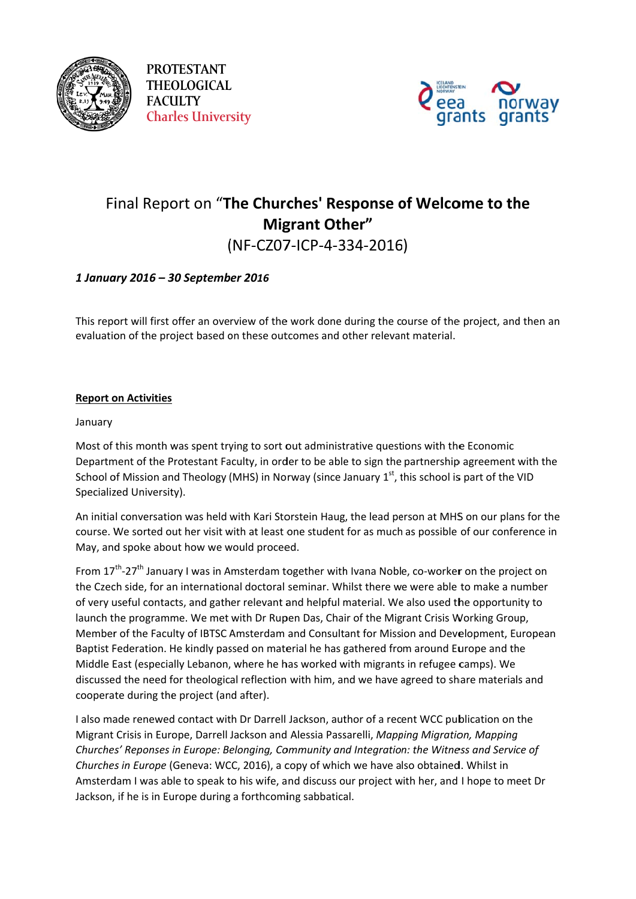

**PROTESTANT THEOLOGICAL FACULTY Charles University** 



# Final Report on "The Churches' Response of Welcome to the **Migrant Other"** (NF-CZ07-ICP-4-334-2016)

## 1 January 2016 - 30 September 2016

This report will first offer an overview of the work done during the course of the project, and then an evaluation of the project based on these outcomes and other relevant material.

### **Report on Activities**

### January

Most of this month was spent trying to sort out administrative questions with the Economic Department of the Protestant Faculty, in order to be able to sign the partnership agreement with the School of Mission and Theology (MHS) in Norway (since January  $1<sup>st</sup>$ , this school is part of the VID Specialized University).

An initial conversation was held with Kari Storstein Haug, the lead person at MHS on our plans for the course. We sorted out her visit with at least one student for as much as possible of our conference in May, and spoke about how we would proceed.

From 17<sup>th</sup>-27<sup>th</sup> January I was in Amsterdam together with Ivana Noble, co-worker on the project on the Czech side, for an international doctoral seminar. Whilst there we were able to make a number of very useful contacts, and gather relevant and helpful material. We also used the opportunity to launch the programme. We met with Dr Rupen Das, Chair of the Migrant Crisis Working Group, Member of the Faculty of IBTSC Amsterdam and Consultant for Mission and Development, European Baptist Federation. He kindly passed on material he has gathered from around Europe and the Middle East (especially Lebanon, where he has worked with migrants in refugee camps). We discussed the need for theological reflection with him, and we have agreed to share materials and cooperate during the project (and after).

I also made renewed contact with Dr Darrell Jackson, author of a recent WCC publication on the Migrant Crisis in Europe, Darrell Jackson and Alessia Passarelli, Mapping Migration, Mapping Churches' Reponses in Europe: Belonging, Community and Integration: the Witness and Service of Churches in Europe (Geneva: WCC, 2016), a copy of which we have also obtained. Whilst in Amsterdam I was able to speak to his wife, and discuss our project with her, and I hope to meet Dr Jackson, if he is in Europe during a forthcoming sabbatical.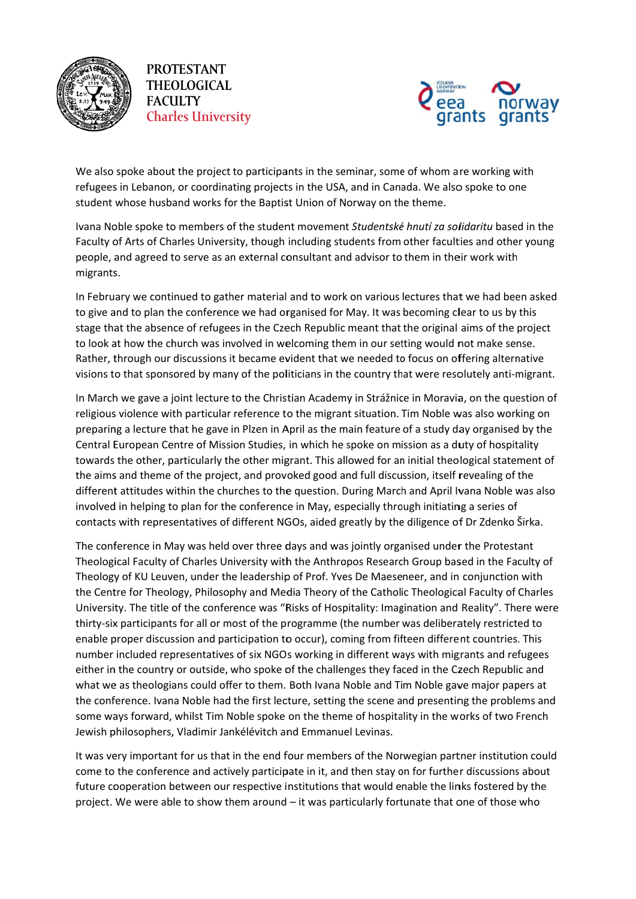

**PROT TESTANT THEO OLOGICAL FACU ULTY CHEOLOGICAL**<br> **Charles University** 



We also spoke about the project to participants in the seminar, some of whom are working with refugees in Lebanon, or coordinating projects in the USA, and in Canada. We also spoke to one student whose husband works for the Baptist Union of Norway on the theme.

Ivana Noble spoke to members of the student movement Studentské hnutí za solidaritu based in the Faculty of Arts of Charles University, though including students from other faculties and other young people, and agreed to serve as an external consultant and advisor to them in their work with migrants s. people, and agreed to serve as an external consultant and advisor to them in their work with<br>migrants.<br>In February we continued to gather material and to work on various lectures that we had been asked

to give and to plan the conference we had organised for May. It was becoming clear to us by this stage that the absence of refugees in the Czech Republic meant that the original aims of the project to look at how the church was involved in welcoming them in our setting would not make sense. Rather, through our discussions it became evident that we needed to focus on offering alternative visions to that sponsored by many of the politicians in the country that were resolutely anti-migrant.

In March we gave a joint lecture to the Christian Academy in Strážnice in Moravia, on the question of religious violence with particular reference to the migrant situation. Tim Noble was also working on preparing a lecture that he gave in Plzen in April as the main feature of a study day organised by the Central European Centre of Mission Studies, in which he spoke on mission as a duty of hospitality towards the other, particularly the other migrant. This allowed for an initial theological statement of the aims and theme of the project, and provoked good and full discussion, itself revealing of the different attitudes within the churches to the question. During March and April Ivana Noble was also involved in helping to plan for the conference in May, especially through initiating a series of contacts with representatives of different NGOs, aided greatly by the diligence of Dr Zdenko Širka.

The conference in May was held over three days and was jointly organised under the Protestant Theological Faculty of Charles University with the Anthropos Research Group based in the Faculty of Theology of KU Leuven, under the leadership of Prof. Yves De Maeseneer, and in conjunction with the Centre for Theology, Philosophy and Media Theory of the Catholic Theological Faculty of Charles University. The title of the conference was "Risks of Hospitality: Imagination and Reality". There were thirty-six participants for all or most of the programme (the number was deliberately restricted to enable proper discussion and participation to occur), coming from fifteen different countries. This number included representatives of six NGOs working in different ways with migrants and refugees either in the country or outside, who spoke of the challenges they faced in the Czech Republic and what we as theologians could offer to them. Both Ivana Noble and Tim Noble gave major papers at the conference. Ivana Noble had the first lecture, setting the scene and presenting the problems and some ways forward, whilst Tim Noble spoke on the theme of hospitality in the works of two French Jewish philosophers, Vladimir Jankélévitch and Emmanuel Levinas.

It was very important for us that in the end four members of the Norwegian partner institution could come to the conference and actively participate in it, and then stay on for further discussions about future cooperation between our respective institutions that would enable the links fostered by the project. We were able to show them around – it was particularly fortunate that one of those who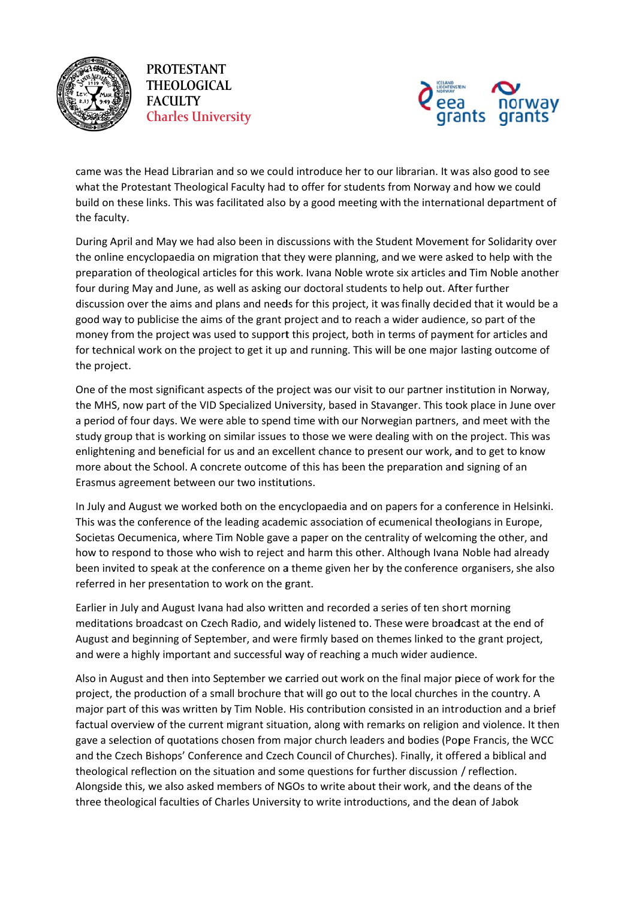

**PROTESTANT THEOLOGICAL FACULTY Charles University** 



came was the Head Librarian and so we could introduce her to our librarian. It was also good to see what the Protestant Theological Faculty had to offer for students from Norway and how we could build on these links. This was facilitated also by a good meeting with the international department of the faculty.

During April and May we had also been in discussions with the Student Movement for Solidarity over the online encyclopaedia on migration that they were planning, and we were asked to help with the preparation of theological articles for this work. Ivana Noble wrote six articles and Tim Noble another four during May and June, as well as asking our doctoral students to help out. After further discussion over the aims and plans and needs for this project, it was finally decided that it would be a good way to publicise the aims of the grant project and to reach a wider audience, so part of the money from the project was used to support this project, both in terms of payment for articles and for technical work on the project to get it up and running. This will be one major lasting outcome of the project.

One of the most significant aspects of the project was our visit to our partner institution in Norway, the MHS, now part of the VID Specialized University, based in Stavanger. This took place in June over a period of four days. We were able to spend time with our Norwegian partners, and meet with the study group that is working on similar issues to those we were dealing with on the project. This was enlightening and beneficial for us and an excellent chance to present our work, and to get to know more about the School. A concrete outcome of this has been the preparation and signing of an Erasmus agreement between our two institutions.

In July and August we worked both on the encyclopaedia and on papers for a conference in Helsinki. This was the conference of the leading academic association of ecumenical theologians in Europe, Societas Oecumenica, where Tim Noble gave a paper on the centrality of welcoming the other, and how to respond to those who wish to reject and harm this other. Although Ivana Noble had already been invited to speak at the conference on a theme given her by the conference organisers, she also referred in her presentation to work on the grant.

Earlier in July and August Ivana had also written and recorded a series of ten short morning meditations broadcast on Czech Radio, and widely listened to. These were broadcast at the end of August and beginning of September, and were firmly based on themes linked to the grant project, and were a highly important and successful way of reaching a much wider audience.

Also in August and then into September we carried out work on the final major piece of work for the project, the production of a small brochure that will go out to the local churches in the country. A major part of this was written by Tim Noble. His contribution consisted in an introduction and a brief factual overview of the current migrant situation, along with remarks on religion and violence. It then gave a selection of quotations chosen from major church leaders and bodies (Pope Francis, the WCC and the Czech Bishops' Conference and Czech Council of Churches). Finally, it offered a biblical and theological reflection on the situation and some questions for further discussion / reflection. Alongside this, we also asked members of NGOs to write about their work, and the deans of the three theological faculties of Charles University to write introductions, and the dean of Jabok